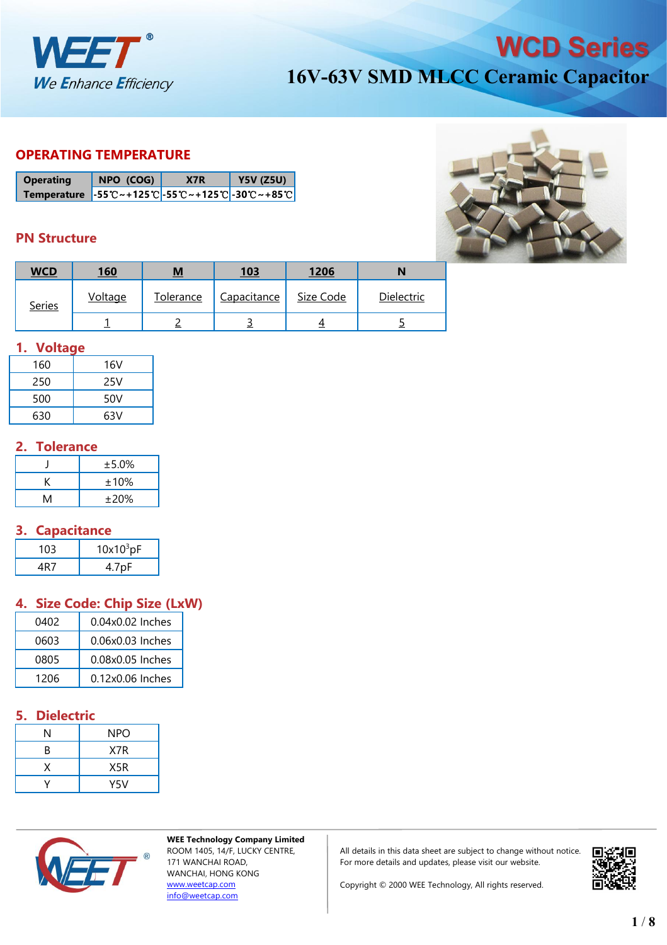

#### **OPERATING TEMPERATURE**

| <b>Operating</b>                                                                                                                                         | NPO (COG) | X7R | <b>Y5V (Z5U)</b> |
|----------------------------------------------------------------------------------------------------------------------------------------------------------|-----------|-----|------------------|
| Temperature $-55^{\circ}\text{C} \sim +125^{\circ}\text{C} - 55^{\circ}\text{C} \sim +125^{\circ}\text{C} - 30^{\circ}\text{C} \sim +85^{\circ}\text{C}$ |           |     |                  |

### **PN Structure**



| <b>WCD</b>    | <u>160</u> | $M$       | <u>103</u>  | 1206      |            |
|---------------|------------|-----------|-------------|-----------|------------|
| <b>Series</b> | Voltage    | Tolerance | Capacitance | Size Code | Dielectric |
|               |            |           |             |           |            |

### **1. Voltage**

| 160 | 16V |
|-----|-----|
| 250 | 25V |
| 500 | 50V |
| 630 | 63V |

## **2. Tolerance**

|   | ±5.0% |
|---|-------|
|   | ±10%  |
| M | ±20%  |

## **3. Capacitance**

| $10x10^3pF$ |
|-------------|
|             |

# **4. Size Code: Chip Size (LxW)**

| 0402 | 0.04x0.02 Inches |
|------|------------------|
| 0603 | 0.06x0.03 Inches |
| 0805 | 0.08x0.05 Inches |
| 1206 | 0.12x0.06 Inches |

# **5. Dielectric**

|   | <b>NPO</b> |
|---|------------|
| R | X7R        |
|   | X5R        |
|   | Y5V        |



**WEE Technology Company Limited** ROOM 1405, 14/F, LUCKY CENTRE, 171 WANCHAI ROAD, WANCHAI, HONG KONG [www.weetcap.com](http://www.weetcap.com) [info@weetcap.com](mailto:info@weetcap.com)

All details in this data sheet are subject to change without notice.  $\Box$ For more details and updates, please visit our website.

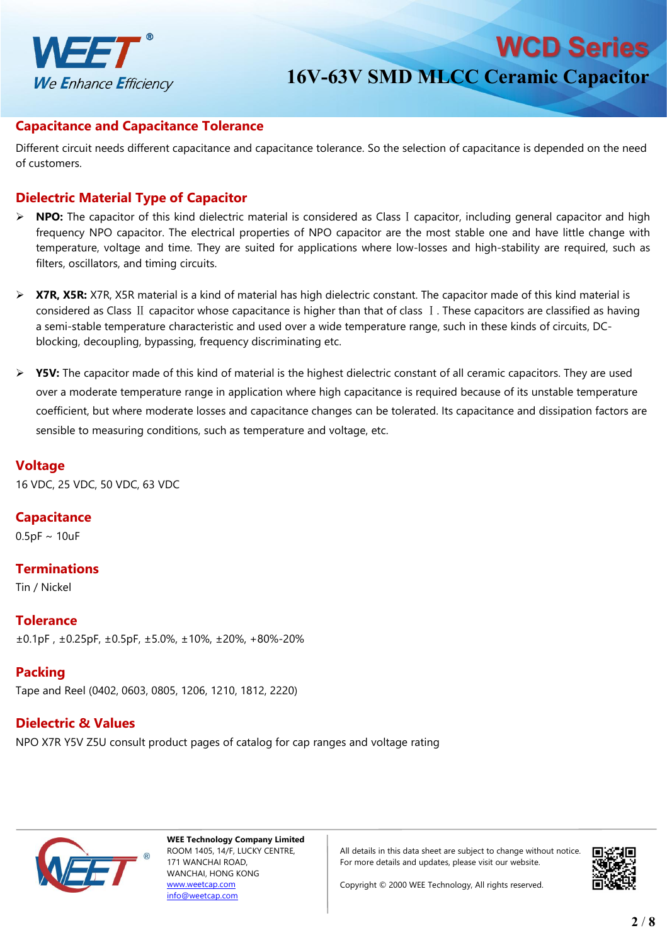

**WCD Series** 

#### **Capacitance and Capacitance Tolerance**

Different circuit needs different capacitance and capacitance tolerance. So the selection of capacitance is depended on the need of customers.

#### **Dielectric Material Type of Capacitor**

- **NPO:** The capacitor of this kind dielectric material is considered as ClassⅠcapacitor, including general capacitor and high frequency NPO capacitor. The electrical properties of NPO capacitor are the most stable one and have little change with temperature, voltage and time. They are suited for applications where low-losses and high-stability are required, such as filters, oscillators, and timing circuits.
- **X7R, X5R:** X7R, X5R material is a kind of material has high dielectric constant. The capacitor made of this kind material is considered as Class Ⅱ capacitor whose capacitance is higher than that of class Ⅰ. These capacitors are classified as having a semi-stable temperature characteristic and used overa wide temperature range, such in these kinds of circuits, DC blocking, decoupling, bypassing, frequency discriminating etc.
- **EXECT:** The capacitor made of this kind of material is the highest dielectric constant of all ceramic capacitors. They are used over a moderate temperature range in application where high capacitance is required because of its unstable temperature coefficient, but where moderate losses and capacitance changes can be tolerated. Its capacitance and dissipation factors are sensible to measuring conditions, such as temperature and voltage, etc.

## **Voltage**

16 VDC, 25 VDC, 50 VDC, 63 VDC

**Capacitance**

 $0.5pF \sim 10uF$ 

#### **Terminations**

Tin / Nickel

**Tolerance** ±0.1pF , ±0.25pF, ±0.5pF, ±5.0%, ±10%, ±20%, +80%-20%

### **Packing**

Tape and Reel (0402, 0603, 0805, 1206, 1210, 1812, 2220)

## **Dielectric & Values**

NPO X7R Y5V Z5U consult product pages of catalog for cap ranges and voltage rating



**WEE Technology Company Limited** ROOM 1405, 14/F, LUCKY CENTRE, 171 WANCHAI ROAD, WANCHAI, HONG KONG [www.weetcap.com](http://www.weetcap.com) [info@weetcap.com](mailto:info@weetcap.com)

All details in this data sheet are subject to change without notice. For more details and updates, please visit our website.

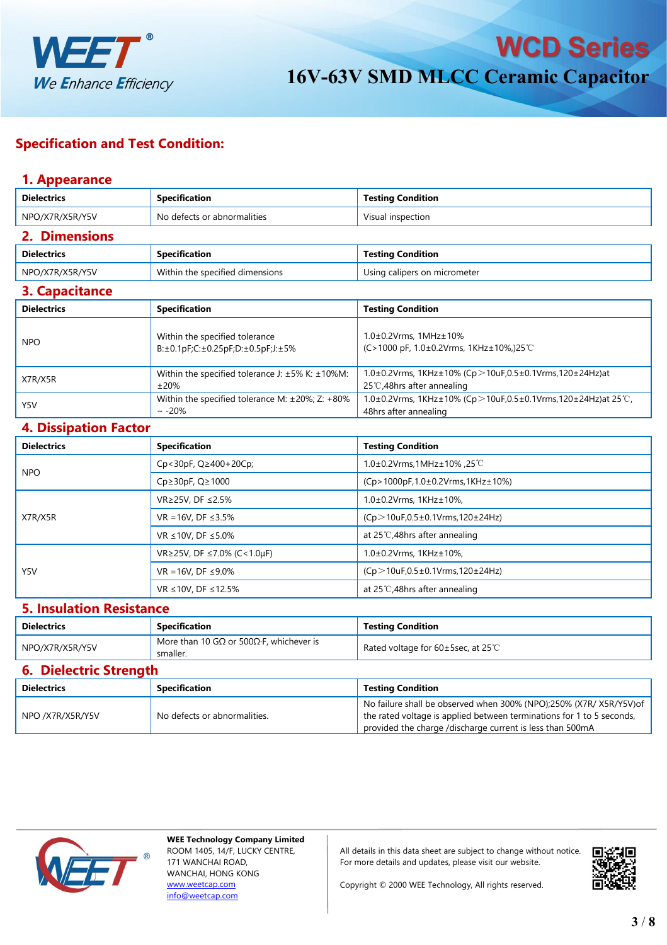

### **Specification and Test Condition:**

### **1. Appearance**

| <b>Dielectrics</b>              | <b>Specification</b>                                                 | <b>Testing Condition</b>                                                                                                                                                                                 |  |  |  |  |
|---------------------------------|----------------------------------------------------------------------|----------------------------------------------------------------------------------------------------------------------------------------------------------------------------------------------------------|--|--|--|--|
| NPO/X7R/X5R/Y5V                 | No defects or abnormalities                                          | Visual inspection                                                                                                                                                                                        |  |  |  |  |
| 2. Dimensions                   |                                                                      |                                                                                                                                                                                                          |  |  |  |  |
| <b>Dielectrics</b>              | <b>Specification</b>                                                 | <b>Testing Condition</b>                                                                                                                                                                                 |  |  |  |  |
| NPO/X7R/X5R/Y5V                 | Within the specified dimensions                                      | Using calipers on micrometer                                                                                                                                                                             |  |  |  |  |
| 3. Capacitance                  |                                                                      |                                                                                                                                                                                                          |  |  |  |  |
| <b>Dielectrics</b>              | <b>Specification</b>                                                 | <b>Testing Condition</b>                                                                                                                                                                                 |  |  |  |  |
| <b>NPO</b>                      | Within the specified tolerance<br>B:±0.1pF;C:±0.25pF;D:±0.5pF;J:±5%  | $1.0\pm0.2$ Vrms, $1MHz\pm10%$<br>(C>1000 pF, $1.0\pm0.2$ Vrms, $1$ KHz $\pm$ 10%,)25°C                                                                                                                  |  |  |  |  |
| X7R/X5R                         | Within the specified tolerance J: ±5% K: ±10%M:<br>±20%              | 1.0±0.2Vrms, 1KHz±10% (Cp>10uF,0.5±0.1Vrms,120±24Hz)at<br>25℃,48hrs after annealing                                                                                                                      |  |  |  |  |
| Y5V                             | Within the specified tolerance M: ±20%; Z: +80%<br>$\sim -20\%$      | 1.0±0.2Vrms, 1KHz±10% (Cp>10uF,0.5±0.1Vrms,120±24Hz)at 25°C,<br>48hrs after annealing                                                                                                                    |  |  |  |  |
| <b>4. Dissipation Factor</b>    |                                                                      |                                                                                                                                                                                                          |  |  |  |  |
| <b>Dielectrics</b>              | <b>Specification</b>                                                 | <b>Testing Condition</b>                                                                                                                                                                                 |  |  |  |  |
|                                 | Cp<30pF, Q≥400+20Cp;                                                 | 1.0±0.2Vrms,1MHz±10%,25°C                                                                                                                                                                                |  |  |  |  |
| <b>NPO</b>                      | Cp≥30pF, Q≥1000                                                      | (Cp>1000pF,1.0±0.2Vrms,1KHz±10%)                                                                                                                                                                         |  |  |  |  |
|                                 | VR≥25V, DF ≤2.5%                                                     | 1.0±0.2Vrms, 1KHz±10%,                                                                                                                                                                                   |  |  |  |  |
| X7R/X5R                         | VR = 16V, DF ≤3.5%                                                   | $(Cp > 10uF, 0.5 \pm 0.1V$ rms, 120 $\pm$ 24Hz)                                                                                                                                                          |  |  |  |  |
|                                 | VR ≤10V, DF ≤5.0%                                                    | at 25 $\degree$ C,48hrs after annealing                                                                                                                                                                  |  |  |  |  |
|                                 | VR≥25V, DF ≤7.0% (C<1.0µF)                                           | $1.0\pm0.2$ Vrms, $1$ KHz $\pm$ 10%,                                                                                                                                                                     |  |  |  |  |
| Y5V                             | $VR = 16V$ , DF ≤9.0%                                                | $(Cp > 10uF, 0.5 \pm 0.1V$ rms, 120 $\pm$ 24Hz)                                                                                                                                                          |  |  |  |  |
|                                 | VR ≤10V, DF ≤12.5%                                                   | at 25 $\degree$ C,48hrs after annealing                                                                                                                                                                  |  |  |  |  |
| <b>5. Insulation Resistance</b> |                                                                      |                                                                                                                                                                                                          |  |  |  |  |
| <b>Dielectrics</b>              | <b>Specification</b>                                                 | <b>Testing Condition</b>                                                                                                                                                                                 |  |  |  |  |
| NPO/X7R/X5R/Y5V                 | More than 10 G $\Omega$ or 500 $\Omega$ ·F, whichever is<br>smaller. | Rated voltage for 60±5sec, at 25°C                                                                                                                                                                       |  |  |  |  |
| <b>6. Dielectric Strength</b>   |                                                                      |                                                                                                                                                                                                          |  |  |  |  |
| <b>Dielectrics</b>              | <b>Specification</b>                                                 | <b>Testing Condition</b>                                                                                                                                                                                 |  |  |  |  |
| NPO /X7R/X5R/Y5V                | No defects or abnormalities.                                         | No failure shall be observed when 300% (NPO);250% (X7R/ X5R/Y5V)of<br>the rated voltage is applied between terminations for 1 to 5 seconds,<br>provided the charge /discharge current is less than 500mA |  |  |  |  |



**WEE Technology Company Limited** ROOM 1405, 14/F, LUCKY CENTRE, 171 WANCHAI ROAD, WANCHAI, HONG KONG [www.weetcap.com](http://www.weetcap.com) [info@weetcap.com](mailto:info@weetcap.com)

All details in this data sheet are subject to change without notice.  $\Box$ For more details and updates, please visit our website.

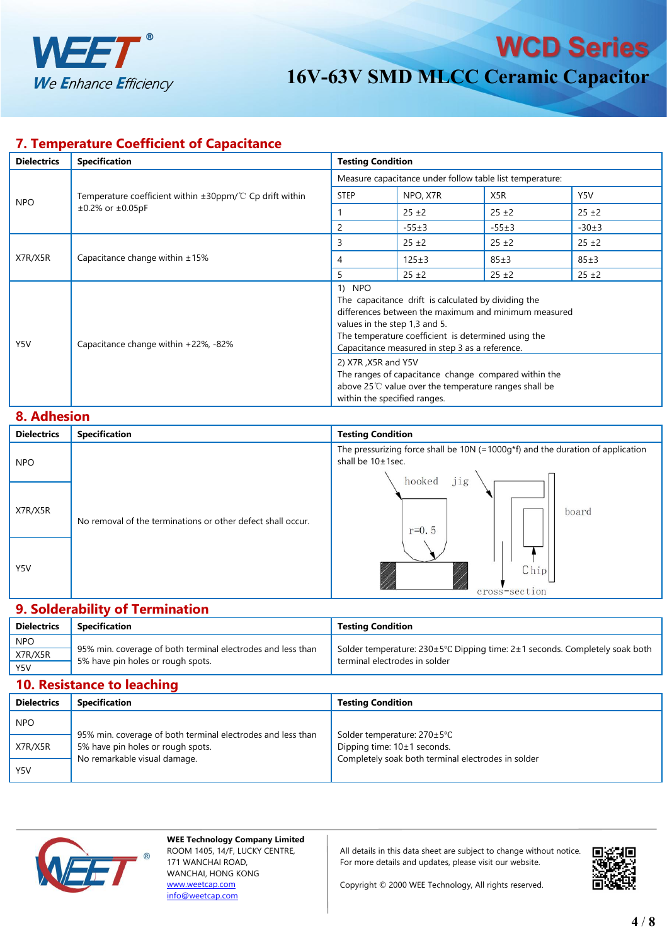

#### **7. Temperature Coefficient of Capacitance**

| <b>Dielectrics</b> | <b>Specification</b>                                                                           | <b>Testing Condition</b>                                                                                                                                                                                                                                                                                                                                                                                                               |             |                  |            |
|--------------------|------------------------------------------------------------------------------------------------|----------------------------------------------------------------------------------------------------------------------------------------------------------------------------------------------------------------------------------------------------------------------------------------------------------------------------------------------------------------------------------------------------------------------------------------|-------------|------------------|------------|
|                    | Temperature coefficient within $\pm 30$ ppm/°C Cp drift within<br>$\pm 0.2\%$ or $\pm 0.05$ pF | Measure capacitance under follow table list temperature:                                                                                                                                                                                                                                                                                                                                                                               |             |                  |            |
| <b>NPO</b>         |                                                                                                | <b>STEP</b>                                                                                                                                                                                                                                                                                                                                                                                                                            | NPO, X7R    | X <sub>5</sub> R | Y5V        |
|                    |                                                                                                |                                                                                                                                                                                                                                                                                                                                                                                                                                        | $25 \pm 2$  | $25 \pm 2$       | $25 \pm 2$ |
|                    |                                                                                                | 2                                                                                                                                                                                                                                                                                                                                                                                                                                      | $-55±3$     | $-55±3$          | $-30±3$    |
| X7R/X5R            | Capacitance change within $\pm 15\%$                                                           | 3                                                                                                                                                                                                                                                                                                                                                                                                                                      | $25 + 2$    | $25 \pm 2$       | $25 \pm 2$ |
|                    |                                                                                                | 4                                                                                                                                                                                                                                                                                                                                                                                                                                      | $125 \pm 3$ | $85 \pm 3$       | 85±3       |
|                    |                                                                                                | 5                                                                                                                                                                                                                                                                                                                                                                                                                                      | $25 \pm 2$  | $25 \pm 2$       | $25 \pm 2$ |
| Y5V                | Capacitance change within +22%, -82%                                                           | 1) NPO<br>The capacitance drift is calculated by dividing the<br>differences between the maximum and minimum measured<br>values in the step 1,3 and 5.<br>The temperature coefficient is determined using the<br>Capacitance measured in step 3 as a reference.<br>2) X7R, X5R and Y5V<br>The ranges of capacitance change compared within the<br>above 25℃ value over the temperature ranges shall be<br>within the specified ranges. |             |                  |            |

#### **8. Adhesion**

| <b>Dielectrics</b> | <b>Specification</b>                                        | <b>Testing Condition</b>                                                                                             |  |  |  |  |
|--------------------|-------------------------------------------------------------|----------------------------------------------------------------------------------------------------------------------|--|--|--|--|
| <b>NPO</b>         | No removal of the terminations or other defect shall occur. | The pressurizing force shall be 10N (=1000g*f) and the duration of application<br>shall be 10±1sec.<br>jig<br>hooked |  |  |  |  |
| X7R/X5R            |                                                             | board<br>$r=0.5$                                                                                                     |  |  |  |  |
| Y5V                |                                                             | Chip<br>cross-section                                                                                                |  |  |  |  |

# **9. Solderability of Termination**

| <b>Dielectrics</b> | <b>Specification</b>                                        | <b>Testina Condition</b>                                                                                                         |
|--------------------|-------------------------------------------------------------|----------------------------------------------------------------------------------------------------------------------------------|
| <b>NPO</b>         |                                                             |                                                                                                                                  |
| X7R/X5R            | 95% min. coverage of both terminal electrodes and less than | Solder temperature: $230 \pm 5^{\circ}$ C Dipping time: 2 $\pm 1$ seconds. Completely soak both<br>terminal electrodes in solder |
| Y5V                | 5% have pin holes or rough spots.                           |                                                                                                                                  |

## **10. Resistance to leaching**

| <b>Dielectrics</b> | <b>Specification</b>                                                                             | <b>Testing Condition</b>                                     |  |  |  |
|--------------------|--------------------------------------------------------------------------------------------------|--------------------------------------------------------------|--|--|--|
| <b>NPO</b>         |                                                                                                  |                                                              |  |  |  |
| X7R/X5R            | 95% min. coverage of both terminal electrodes and less than<br>5% have pin holes or rough spots. | Solder temperature: 270±5°C<br>Dipping time: $10±1$ seconds. |  |  |  |
| Y5V                | No remarkable visual damage.                                                                     | Completely soak both terminal electrodes in solder           |  |  |  |



**WEE Technology Company Limited** ROOM 1405, 14/F, LUCKY CENTRE, 171 WANCHAI ROAD, WANCHAI, HONG KONG [www.weetcap.com](http://www.weetcap.com) [info@weetcap.com](mailto:info@weetcap.com)

All details in this data sheet are subject to change without notice.  $\Box \Box$ For more details and updates, please visit our website.

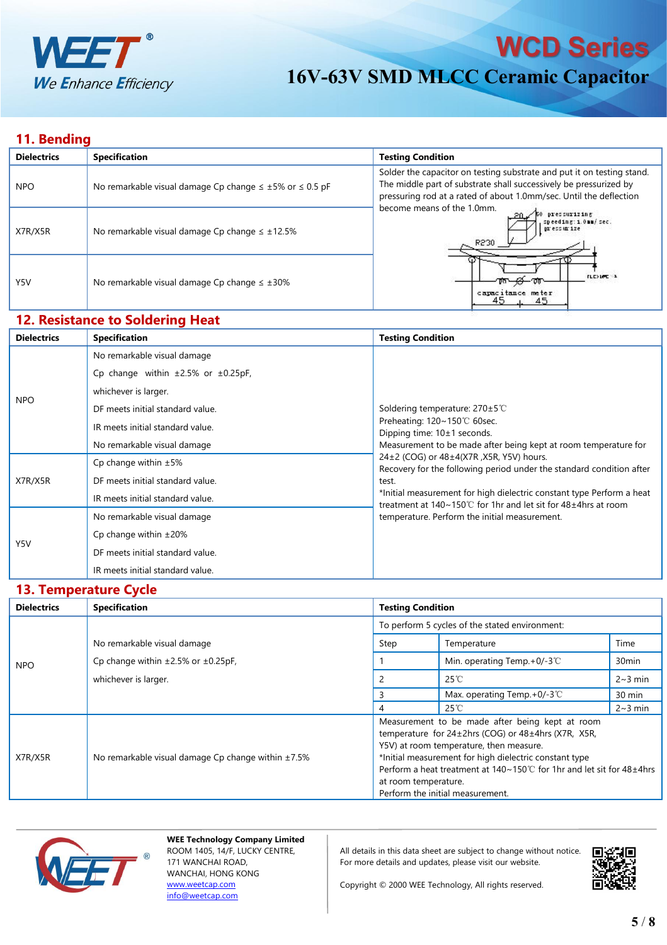

## **11. Bending**

| <b>Dielectrics</b> | <b>Specification</b>                                                  | <b>Testing Condition</b>                                                                                                                                                                                          |
|--------------------|-----------------------------------------------------------------------|-------------------------------------------------------------------------------------------------------------------------------------------------------------------------------------------------------------------|
| <b>NPO</b>         | No remarkable visual damage Cp change $\leq \pm 5\%$ or $\leq 0.5$ pF | Solder the capacitor on testing substrate and put it on testing stand.<br>The middle part of substrate shall successively be pressurized by<br>pressuring rod at a rated of about 1.0mm/sec. Until the deflection |
| X7R/X5R            | No remarkable visual damage Cp change $\leq \pm 12.5\%$               | become means of the 1.0mm.<br>pressurizing<br>speeding: 1.0mm/ sec.<br>pressurize<br>R230                                                                                                                         |
| Y5V                | No remarkable visual damage Cp change $\leq \pm 30\%$                 | <b>FLEXING 1</b><br>কা <del>_≪</del> —কা<br>capacitance meter<br>45<br>45                                                                                                                                         |

#### **12. Resistance to Soldering Heat**

| <b>Dielectrics</b>    | <b>Specification</b>                                                                                                                                                                                                                                                                                                                         | <b>Testing Condition</b>                                                                                                                                                                                                                                                                                                                                                                                                                                       |  |  |  |
|-----------------------|----------------------------------------------------------------------------------------------------------------------------------------------------------------------------------------------------------------------------------------------------------------------------------------------------------------------------------------------|----------------------------------------------------------------------------------------------------------------------------------------------------------------------------------------------------------------------------------------------------------------------------------------------------------------------------------------------------------------------------------------------------------------------------------------------------------------|--|--|--|
|                       | No remarkable visual damage                                                                                                                                                                                                                                                                                                                  |                                                                                                                                                                                                                                                                                                                                                                                                                                                                |  |  |  |
|                       | Cp change within $\pm 2.5\%$ or $\pm 0.25pF$ ,                                                                                                                                                                                                                                                                                               |                                                                                                                                                                                                                                                                                                                                                                                                                                                                |  |  |  |
|                       | whichever is larger.<br>DF meets initial standard value.<br>IR meets initial standard value.<br>No remarkable visual damage<br>Cp change within $\pm 5\%$<br>DF meets initial standard value.<br>test.<br>IR meets initial standard value.<br>No remarkable visual damage<br>Cp change within $\pm 20\%$<br>DF meets initial standard value. |                                                                                                                                                                                                                                                                                                                                                                                                                                                                |  |  |  |
|                       |                                                                                                                                                                                                                                                                                                                                              | Soldering temperature: $270 \pm 5^{\circ}$ C                                                                                                                                                                                                                                                                                                                                                                                                                   |  |  |  |
| <b>NPO</b><br>X7R/X5R |                                                                                                                                                                                                                                                                                                                                              |                                                                                                                                                                                                                                                                                                                                                                                                                                                                |  |  |  |
|                       |                                                                                                                                                                                                                                                                                                                                              | Preheating: 120~150℃ 60sec.<br>Dipping time: $10±1$ seconds.<br>Measurement to be made after being kept at room temperature for<br>24±2 (COG) or 48±4(X7R, X5R, Y5V) hours.<br>Recovery for the following period under the standard condition after<br>*Initial measurement for high dielectric constant type Perform a heat<br>treatment at $140~150^{\circ}$ for 1hr and let sit for $48~\pm 4$ hrs at room<br>temperature. Perform the initial measurement. |  |  |  |
|                       |                                                                                                                                                                                                                                                                                                                                              |                                                                                                                                                                                                                                                                                                                                                                                                                                                                |  |  |  |
|                       |                                                                                                                                                                                                                                                                                                                                              |                                                                                                                                                                                                                                                                                                                                                                                                                                                                |  |  |  |
|                       |                                                                                                                                                                                                                                                                                                                                              |                                                                                                                                                                                                                                                                                                                                                                                                                                                                |  |  |  |
|                       |                                                                                                                                                                                                                                                                                                                                              |                                                                                                                                                                                                                                                                                                                                                                                                                                                                |  |  |  |
| Y5V                   |                                                                                                                                                                                                                                                                                                                                              |                                                                                                                                                                                                                                                                                                                                                                                                                                                                |  |  |  |
|                       |                                                                                                                                                                                                                                                                                                                                              |                                                                                                                                                                                                                                                                                                                                                                                                                                                                |  |  |  |
|                       | IR meets initial standard value.                                                                                                                                                                                                                                                                                                             |                                                                                                                                                                                                                                                                                                                                                                                                                                                                |  |  |  |

#### **13. Temperature Cycle**

| <b>Dielectrics</b> | <b>Specification</b>                                     | <b>Testing Condition</b>                                                                                                                                                                                                                                                                                                                                  |                                         |                   |
|--------------------|----------------------------------------------------------|-----------------------------------------------------------------------------------------------------------------------------------------------------------------------------------------------------------------------------------------------------------------------------------------------------------------------------------------------------------|-----------------------------------------|-------------------|
|                    |                                                          | To perform 5 cycles of the stated environment:                                                                                                                                                                                                                                                                                                            |                                         |                   |
| NPO                | No remarkable visual damage                              | Step                                                                                                                                                                                                                                                                                                                                                      | Temperature                             | Time              |
|                    | Cp change within $\pm 2.5\%$ or $\pm 0.25$ pF,           |                                                                                                                                                                                                                                                                                                                                                           | Min. operating Temp. +0/-3 $^{\circ}$ C | 30 <sub>min</sub> |
|                    | whichever is larger.                                     |                                                                                                                                                                                                                                                                                                                                                           | $25^{\circ}$ C                          | $2~3$ min         |
|                    |                                                          |                                                                                                                                                                                                                                                                                                                                                           | Max. operating Temp. $+0/-3$ °C         | 30 min            |
|                    |                                                          | 4                                                                                                                                                                                                                                                                                                                                                         | $25^{\circ}$ C                          | $2~3$ min         |
| X7R/X5R            | No remarkable visual damage Cp change within $\pm 7.5\%$ | Measurement to be made after being kept at room<br>temperature for $24\pm2$ hrs (COG) or $48\pm4$ hrs (X7R, X5R,<br>Y5V) at room temperature, then measure.<br>*Initial measurement for high dielectric constant type<br>Perform a heat treatment at 140~150℃ for 1hr and let sit for 48±4hrs<br>at room temperature.<br>Perform the initial measurement. |                                         |                   |
|                    |                                                          |                                                                                                                                                                                                                                                                                                                                                           |                                         |                   |



**WEE Technology Company Limited** ROOM 1405, 14/F, LUCKY CENTRE, 171 WANCHAI ROAD, WANCHAI, HONG KONG [www.weetcap.com](http://www.weetcap.com) [info@weetcap.com](mailto:info@weetcap.com)

All details in this data sheet are subject to change without notice.  $\Box$ For more details and updates, please visit our website.

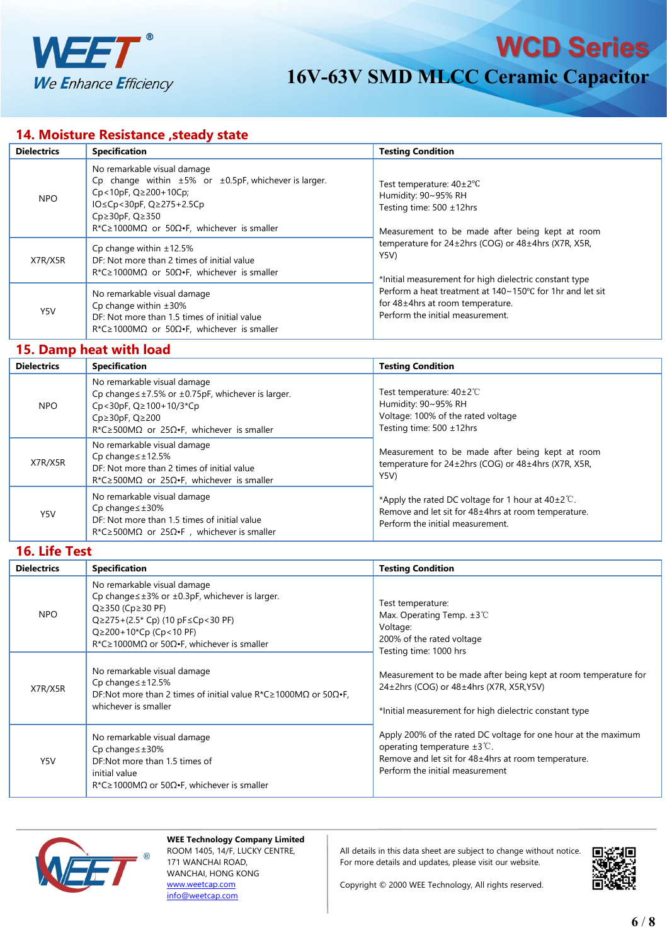

## **14. Moisture Resistance ,steady state**

| <b>Dielectrics</b> | <b>Specification</b>                                                                                                                                                                                                                                              | <b>Testing Condition</b>                                                                                                                                                                                                                                                                                                                                                                                |  |
|--------------------|-------------------------------------------------------------------------------------------------------------------------------------------------------------------------------------------------------------------------------------------------------------------|---------------------------------------------------------------------------------------------------------------------------------------------------------------------------------------------------------------------------------------------------------------------------------------------------------------------------------------------------------------------------------------------------------|--|
| <b>NPO</b>         | No remarkable visual damage<br>Cp change within $\pm 5\%$ or $\pm 0.5$ pF, whichever is larger.<br>$Cp < 10pF$ , $Q \ge 200 + 10Cp$ ;<br>IO≤Cp<30pF, Q≥275+2.5Cp<br>$Cp \geq 30pF, Q \geq 350$<br>$R^*C \ge 1000M\Omega$ or 50 $\Omega$ . F, whichever is smaller | Test temperature: $40\pm2\degree$ C<br>Humidity: 90~95% RH<br>Testing time: 500 ±12hrs<br>Measurement to be made after being kept at room<br>temperature for 24±2hrs (COG) or 48±4hrs (X7R, X5R,<br>Y5V)<br>*Initial measurement for high dielectric constant type<br>Perform a heat treatment at 140∼150°C for 1hr and let sit<br>for 48±4hrs at room temperature.<br>Perform the initial measurement. |  |
| X7R/X5R            | Cp change within $\pm 12.5\%$<br>DF: Not more than 2 times of initial value<br>$R^*C \ge 1000M\Omega$ or 50 $\Omega$ . F, whichever is smaller                                                                                                                    |                                                                                                                                                                                                                                                                                                                                                                                                         |  |
| Y5V                | No remarkable visual damage<br>Cp change within $\pm 30\%$<br>DF: Not more than 1.5 times of initial value<br>$R^*C \ge 1000M\Omega$ or 50 $\Omega$ . F, whichever is smaller                                                                                     |                                                                                                                                                                                                                                                                                                                                                                                                         |  |

#### **15. Damp heat with load**

| <b>Dielectrics</b> | <b>Specification</b>                                                                                                                                                                                                     | <b>Testing Condition</b>                                                                                                                                 |  |  |
|--------------------|--------------------------------------------------------------------------------------------------------------------------------------------------------------------------------------------------------------------------|----------------------------------------------------------------------------------------------------------------------------------------------------------|--|--|
| NPO.               | No remarkable visual damage<br>Cp change $\leq \pm 7.5\%$ or $\pm 0.75$ pF, whichever is larger.<br>Cp<30pF, Q≥100+10/3*Cp<br>$Cp \geq 30pF$ , $Q \geq 200$<br>R*C≥500M $\Omega$ or 25 $\Omega$ •F, whichever is smaller | Test temperature: $40\pm2^{\circ}$<br>Humidity: 90~95% RH<br>Voltage: 100% of the rated voltage<br>Testing time: 500 ±12hrs                              |  |  |
| X7R/X5R            | No remarkable visual damage<br>Cp change $\leq \pm 12.5\%$<br>DF: Not more than 2 times of initial value<br>$R^*C \ge 500 \text{M}\Omega$ or 25 $\Omega$ •F, whichever is smaller                                        | Measurement to be made after being kept at room<br>temperature for 24±2hrs (COG) or 48±4hrs (X7R, X5R,<br>Y5V)                                           |  |  |
| Y5V                | No remarkable visual damage<br>$Cp$ change $\leq \pm 30\%$<br>DF: Not more than 1.5 times of initial value<br>$R^*C \geq 500M\Omega$ or 25 $\Omega \cdot F$ , whichever is smaller                                       | *Apply the rated DC voltage for 1 hour at $40\pm2^{\circ}$ C.<br>Remove and let sit for 48±4hrs at room temperature.<br>Perform the initial measurement. |  |  |

**16. Life Test**

| <b>Dielectrics</b> | <b>Specification</b>                                                                                                                                                                                                                                                                                | <b>Testing Condition</b>                                                                                                                                                                                                                                                                                                                                                                                                                                                   |
|--------------------|-----------------------------------------------------------------------------------------------------------------------------------------------------------------------------------------------------------------------------------------------------------------------------------------------------|----------------------------------------------------------------------------------------------------------------------------------------------------------------------------------------------------------------------------------------------------------------------------------------------------------------------------------------------------------------------------------------------------------------------------------------------------------------------------|
| <b>NPO</b>         | No remarkable visual damage<br>Cp change $\leq \pm 3\%$ or $\pm 0.3$ pF, whichever is larger.<br>$Q \ge 350$ (Cp $\ge 30$ PF)<br>$Q \ge 275 + (2.5 \times Cp)$ (10 pF $\le$ Cp < 30 PF)<br>$Q \ge 200 + 10^{\circ}$ Cp (Cp < 10 PF)<br>R*C ≥ 1000M $\Omega$ or 50 $\Omega$ •F, whichever is smaller | Test temperature:<br>Max. Operating Temp. $\pm 3^{\circ}$<br>Voltage:<br>200% of the rated voltage<br>Testing time: 1000 hrs<br>Measurement to be made after being kept at room temperature for<br>24±2hrs (COG) or 48±4hrs (X7R, X5R, Y5V)<br>*Initial measurement for high dielectric constant type<br>Apply 200% of the rated DC voltage for one hour at the maximum<br>operating temperature $\pm 3^{\circ}$ C.<br>Remove and let sit for 48±4hrs at room temperature. |
| X7R/X5R            | No remarkable visual damage<br>Cp change $\leq \pm 12.5\%$<br>DF:Not more than 2 times of initial value $R^*C \ge 1000M\Omega$ or $50\Omega \cdot F$ ,<br>whichever is smaller                                                                                                                      |                                                                                                                                                                                                                                                                                                                                                                                                                                                                            |
| Y5V                | No remarkable visual damage<br>$Cp$ change $\leq \pm 30\%$<br>DF:Not more than 1.5 times of<br>initial value<br>$R^*C \ge 1000M\Omega$ or 50 $\Omega$ . F, whichever is smaller                                                                                                                     | Perform the initial measurement                                                                                                                                                                                                                                                                                                                                                                                                                                            |



**WEE Technology Company Limited** ROOM 1405, 14/F, LUCKY CENTRE, 171 WANCHAI ROAD, WANCHAI, HONG KONG [www.weetcap.com](http://www.weetcap.com) [info@weetcap.com](mailto:info@weetcap.com)

All details in this data sheet are subject to change without notice.  $\Box$ For more details and updates, please visit our website.

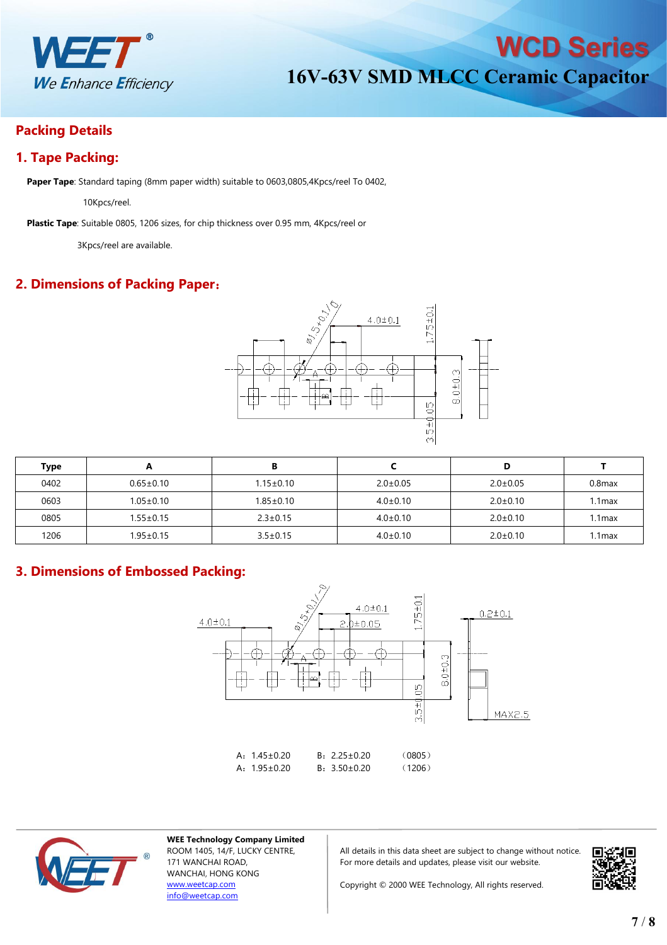

## **Packing Details**

# **1. Tape Packing:**

**Paper Tape**: Standard taping (8mm paper width) suitable to 0603,0805,4Kpcs/reel To 0402,

10Kpcs/reel.

**Plastic Tape**: Suitable 0805, 1206 sizes, for chip thickness over 0.95 mm, 4Kpcs/reel or

3Kpcs/reel are available.

# **2. Dimensions of Packing Paper**:



| Type | n               | в               |                |                |           |
|------|-----------------|-----------------|----------------|----------------|-----------|
| 0402 | $0.65 \pm 0.10$ | $1.15 \pm 0.10$ | $2.0 \pm 0.05$ | $2.0 \pm 0.05$ | $0.8$ max |
| 0603 | $1.05 \pm 0.10$ | $1.85 \pm 0.10$ | $4.0 \pm 0.10$ | $2.0 \pm 0.10$ | 1max      |
| 0805 | $1.55 \pm 0.15$ | $2.3 \pm 0.15$  | $4.0 \pm 0.10$ | $2.0 \pm 0.10$ | .1max     |
| 1206 | 1.95±0.15       | $3.5 \pm 0.15$  | $4.0 \pm 0.10$ | $2.0 \pm 0.10$ | .1max     |

## **3. Dimensions of Embossed Packing:**





**WEE Technology Company Limited** ROOM 1405, 14/F, LUCKY CENTRE, 171 WANCHAI ROAD, WANCHAI, HONG KONG [www.weetcap.com](http://www.weetcap.com) [info@weetcap.com](mailto:info@weetcap.com)

All details in this data sheet are subject to change without notice. For more details and updates, please visit our website.